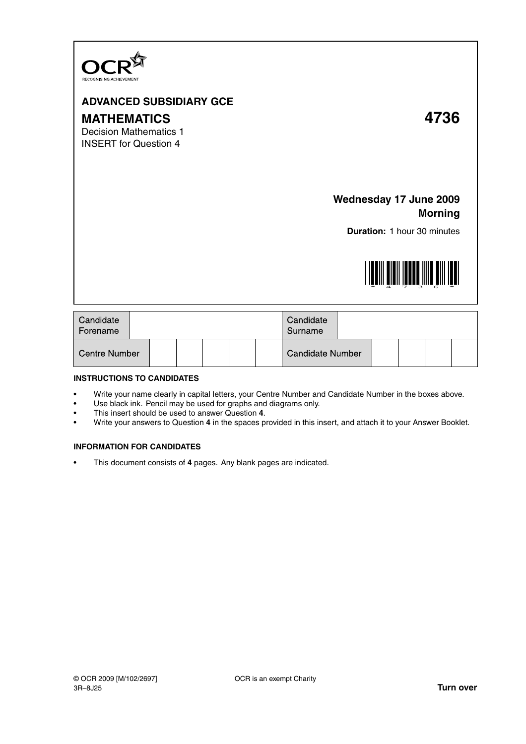

## **ADVANCED SUBSIDIARY GCE**

# **MATHEMATICS 4736**

Decision Mathematics 1 INSERT for Question 4

## **Wednesday 17 June 2009 Morning**

**Duration:** 1 hour 30 minutes



| Candidate<br>Forename |  |  |  |  |  | Candidate<br>Surname    |  |  |  |  |  |
|-----------------------|--|--|--|--|--|-------------------------|--|--|--|--|--|
| Centre Number         |  |  |  |  |  | <b>Candidate Number</b> |  |  |  |  |  |

### **INSTRUCTIONS TO CANDIDATES**

- Write your name clearly in capital letters, your Centre Number and Candidate Number in the boxes above.
- Use black ink. Pencil may be used for graphs and diagrams only.
- This insert should be used to answer Question **4**.
- Write your answers to Question **4** in the spaces provided in this insert, and attach it to your Answer Booklet.

### **INFORMATION FOR CANDIDATES**

• This document consists of **4** pages. Any blank pages are indicated.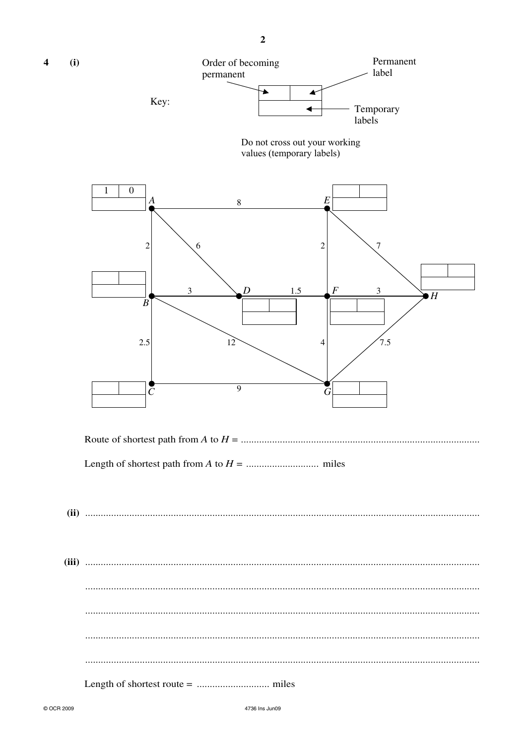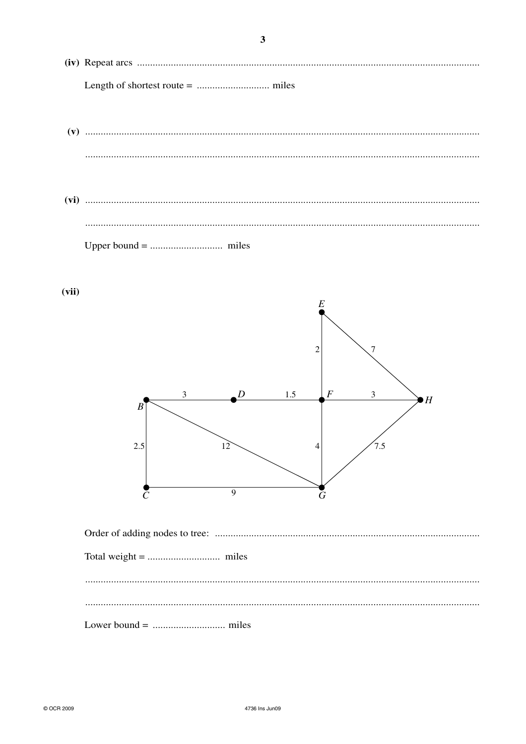$(vii)$